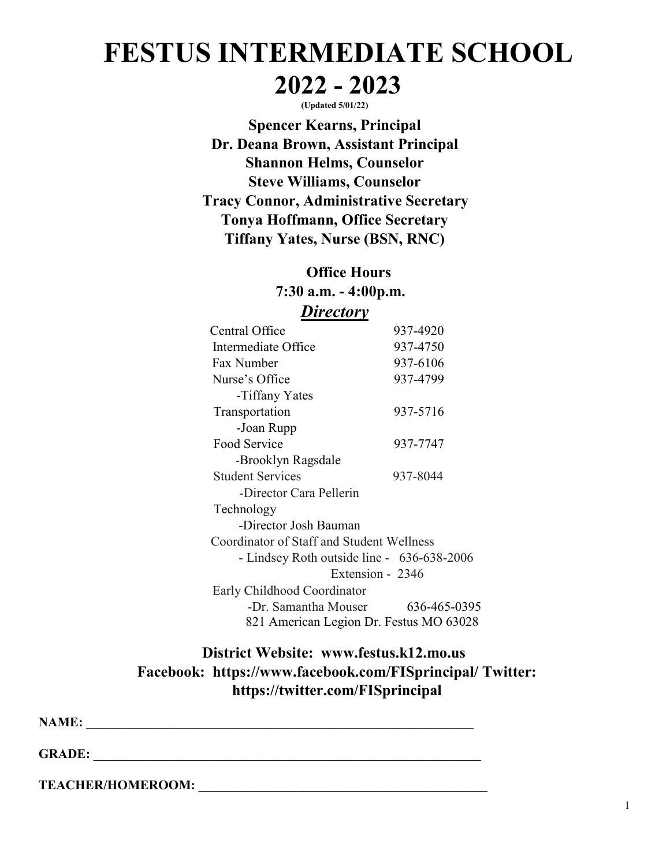# **FESTUS INTERMEDIATE SCHOOL 2022 - 2023**

**(Updated 5/01/22)**

**Spencer Kearns, Principal Dr. Deana Brown, Assistant Principal Shannon Helms, Counselor Steve Williams, Counselor Tracy Connor, Administrative Secretary Tonya Hoffmann, Office Secretary Tiffany Yates, Nurse (BSN, RNC)** 

# **Office Hours**

**7:30 a.m. - 4:00p.m.**

# *Directory*

| Central Office                             | 937-4920     |
|--------------------------------------------|--------------|
| Intermediate Office                        | 937-4750     |
| Fax Number                                 | 937-6106     |
| Nurse's Office                             | 937-4799     |
| -Tiffany Yates                             |              |
| Transportation                             | 937-5716     |
| -Joan Rupp                                 |              |
| Food Service                               | 937-7747     |
| -Brooklyn Ragsdale                         |              |
| <b>Student Services</b>                    | 937-8044     |
| -Director Cara Pellerin                    |              |
| Technology                                 |              |
| -Director Josh Bauman                      |              |
| Coordinator of Staff and Student Wellness  |              |
| - Lindsey Roth outside line - 636-638-2006 |              |
| Extension - 2346                           |              |
| Early Childhood Coordinator                |              |
| -Dr. Samantha Mouser                       | 636-465-0395 |
| 821 American Legion Dr. Festus MO 63028    |              |

# **District Website: www.festus.k12.mo.us Facebook: https://www.facebook.com/FISprincipal/ Twitter: https://twitter.com/FISprincipal**

**NAME:**  $\blacksquare$ 

**GRADE:**  $\blacksquare$ 

 $TEACHER/HOMEROOM:$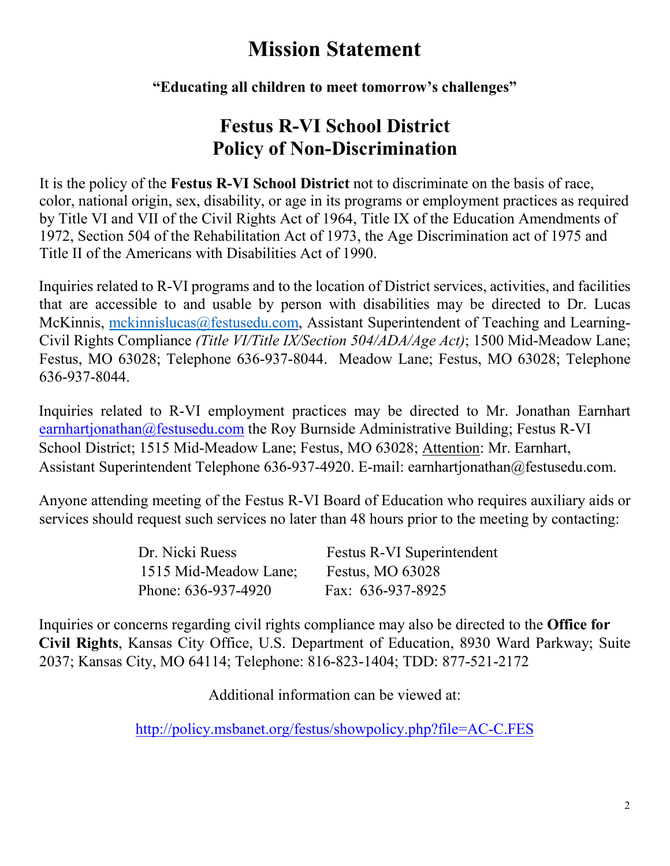# **Mission Statement**

**"Educating all children to meet tomorrow's challenges"** 

# **Festus R-VI School District Policy of Non-Discrimination**

It is the policy of the **Festus R-VI School District** not to discriminate on the basis of race, color, national origin, sex, disability, or age in its programs or employment practices as required by Title VI and VII of the Civil Rights Act of 1964, Title IX of the Education Amendments of 1972, Section 504 of the Rehabilitation Act of 1973, the Age Discrimination act of 1975 and Title II of the Americans with Disabilities Act of 1990.

Inquiries related to R-VI programs and to the location of District services, activities, and facilities that are accessible to and usable by person with disabilities may be directed to Dr. Lucas McKinnis, [mckinnislucas@festusedu.com,](mailto:mckinnislucas@festusedu.com) Assistant Superintendent of Teaching and Learning-Civil Rights Compliance *(Title VI/Title IX/Section 504/ADA/Age Act)*; 1500 Mid-Meadow Lane; Festus, MO 63028; Telephone 636-937-8044. Meadow Lane; Festus, MO 63028; Telephone 636-937-8044.

Inquiries related to R-VI employment practices may be directed to Mr. Jonathan Earnhart earnhartjonathan@festusedu.com the Roy Burnside Administrative Building; Festus R-VI School District; 1515 Mid-Meadow Lane; Festus, MO 63028; Attention: Mr. Earnhart, Assistant Superintendent Telephone 636-937-4920. E-mail: earnhartjonathan@festusedu.com.

Anyone attending meeting of the Festus R-VI Board of Education who requires auxiliary aids or services should request such services no later than 48 hours prior to the meeting by contacting:

| Dr. Nicki Ruess       | Festus R-VI Superintendent |
|-----------------------|----------------------------|
| 1515 Mid-Meadow Lane; | Festus, MO 63028           |
| Phone: 636-937-4920   | Fax: 636-937-8925          |

Inquiries or concerns regarding civil rights compliance may also be directed to the **Office for Civil Rights**, Kansas City Office, U.S. Department of Education, 8930 Ward Parkway; Suite 2037; Kansas City, MO 64114; Telephone: 816-823-1404; TDD: 877-521-2172

Additional information can be viewed at:

<http://policy.msbanet.org/festus/showpolicy.php?file=AC-C.FES>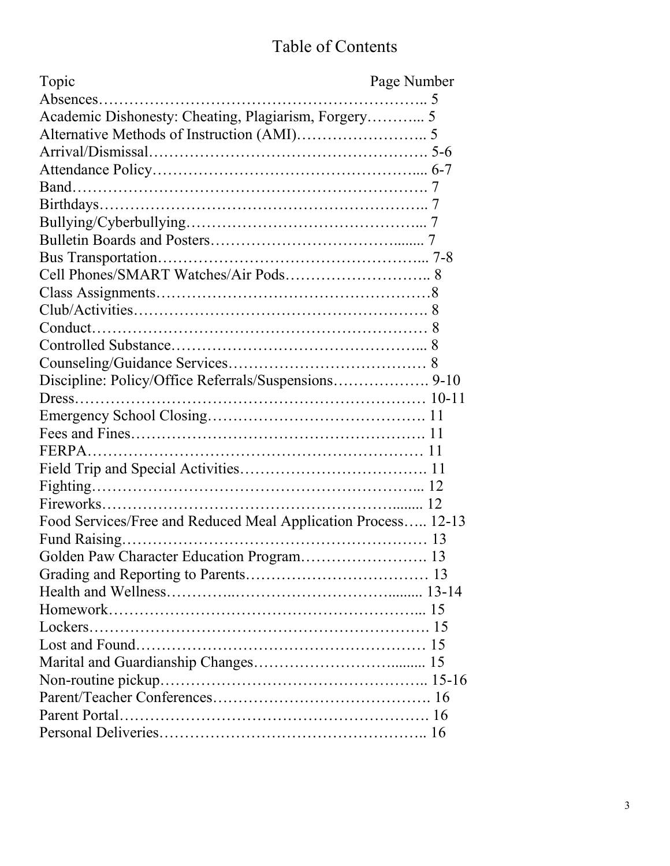# Table of Contents

| Topic                                                         | Page Number |  |  |
|---------------------------------------------------------------|-------------|--|--|
|                                                               |             |  |  |
| Academic Dishonesty: Cheating, Plagiarism, Forgery 5          |             |  |  |
|                                                               |             |  |  |
|                                                               |             |  |  |
|                                                               |             |  |  |
|                                                               |             |  |  |
|                                                               |             |  |  |
|                                                               |             |  |  |
|                                                               |             |  |  |
|                                                               |             |  |  |
|                                                               |             |  |  |
|                                                               |             |  |  |
|                                                               |             |  |  |
|                                                               |             |  |  |
|                                                               |             |  |  |
|                                                               |             |  |  |
|                                                               |             |  |  |
|                                                               |             |  |  |
|                                                               |             |  |  |
|                                                               |             |  |  |
|                                                               |             |  |  |
|                                                               |             |  |  |
|                                                               |             |  |  |
|                                                               |             |  |  |
| Food Services/Free and Reduced Meal Application Process 12-13 |             |  |  |
|                                                               |             |  |  |
| Golden Paw Character Education Program 13                     |             |  |  |
|                                                               |             |  |  |
|                                                               |             |  |  |
|                                                               |             |  |  |
|                                                               |             |  |  |
|                                                               |             |  |  |
|                                                               |             |  |  |
|                                                               |             |  |  |
|                                                               |             |  |  |
|                                                               |             |  |  |
|                                                               |             |  |  |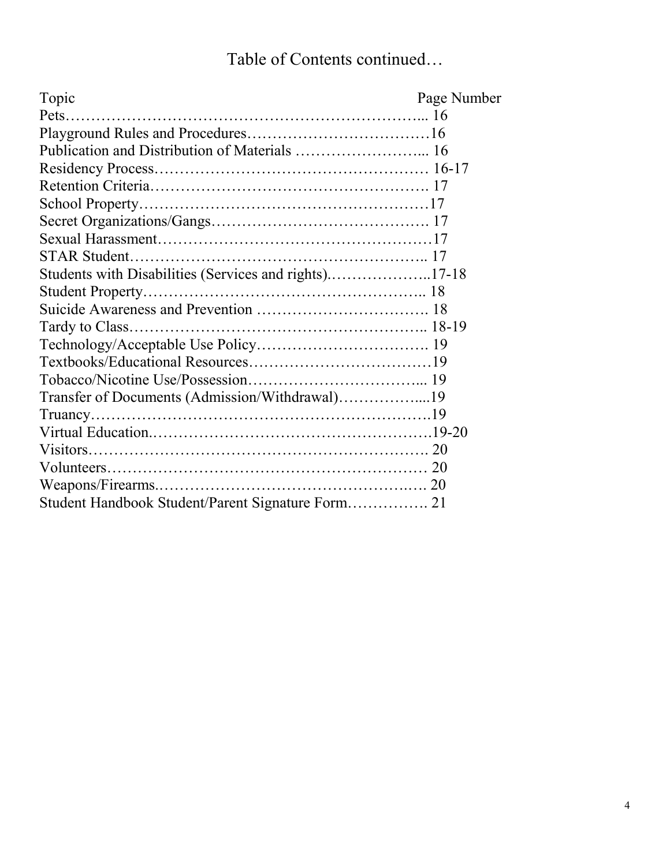# Table of Contents continued…

| Topic                                                 | Page Number |
|-------------------------------------------------------|-------------|
|                                                       |             |
|                                                       |             |
|                                                       |             |
|                                                       |             |
|                                                       |             |
|                                                       |             |
|                                                       |             |
|                                                       |             |
|                                                       |             |
| Students with Disabilities (Services and rights)17-18 |             |
|                                                       |             |
|                                                       |             |
|                                                       |             |
|                                                       |             |
|                                                       |             |
|                                                       |             |
|                                                       |             |
|                                                       |             |
|                                                       |             |
|                                                       |             |
|                                                       |             |
|                                                       |             |
|                                                       |             |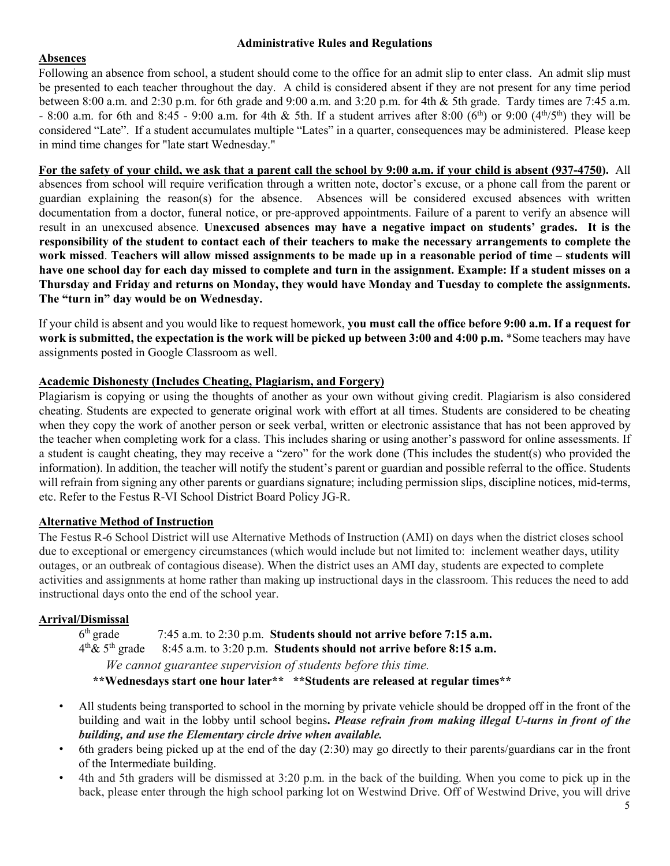#### **Administrative Rules and Regulations**

#### **Absences**

Following an absence from school, a student should come to the office for an admit slip to enter class. An admit slip must be presented to each teacher throughout the day. A child is considered absent if they are not present for any time period between 8:00 a.m. and 2:30 p.m. for 6th grade and 9:00 a.m. and 3:20 p.m. for 4th & 5th grade. Tardy times are 7:45 a.m. - 8:00 a.m. for 6th and 8:45 - 9:00 a.m. for 4th & 5th. If a student arrives after 8:00 (6<sup>th</sup>) or 9:00 (4<sup>th</sup>/5<sup>th</sup>) they will be considered "Late". If a student accumulates multiple "Lates" in a quarter, consequences may be administered. Please keep in mind time changes for "late start Wednesday."

**For the safety of your child, we ask that a parent call the school by 9:00 a.m. if your child is absent (937-4750).** All absences from school will require verification through a written note, doctor's excuse, or a phone call from the parent or guardian explaining the reason(s) for the absence. Absences will be considered excused absences with written documentation from a doctor, funeral notice, or pre-approved appointments. Failure of a parent to verify an absence will result in an unexcused absence. **Unexcused absences may have a negative impact on students' grades. It is the responsibility of the student to contact each of their teachers to make the necessary arrangements to complete the work missed**. **Teachers will allow missed assignments to be made up in a reasonable period of time – students will have one school day for each day missed to complete and turn in the assignment. Example: If a student misses on a Thursday and Friday and returns on Monday, they would have Monday and Tuesday to complete the assignments. The "turn in" day would be on Wednesday.** 

If your child is absent and you would like to request homework, **you must call the office before 9:00 a.m. If a request for work is submitted, the expectation is the work will be picked up between 3:00 and 4:00 p.m.** \*Some teachers may have assignments posted in Google Classroom as well.

#### **Academic Dishonesty (Includes Cheating, Plagiarism, and Forgery)**

Plagiarism is copying or using the thoughts of another as your own without giving credit. Plagiarism is also considered cheating. Students are expected to generate original work with effort at all times. Students are considered to be cheating when they copy the work of another person or seek verbal, written or electronic assistance that has not been approved by the teacher when completing work for a class. This includes sharing or using another's password for online assessments. If a student is caught cheating, they may receive a "zero" for the work done (This includes the student(s) who provided the information). In addition, the teacher will notify the student's parent or guardian and possible referral to the office. Students will refrain from signing any other parents or guardians signature; including permission slips, discipline notices, mid-terms, etc. Refer to the Festus R-VI School District Board Policy JG-R.

#### **Alternative Method of Instruction**

The Festus R-6 School District will use Alternative Methods of Instruction (AMI) on days when the district closes school due to exceptional or emergency circumstances (which would include but not limited to: inclement weather days, utility outages, or an outbreak of contagious disease). When the district uses an AMI day, students are expected to complete activities and assignments at home rather than making up instructional days in the classroom. This reduces the need to add instructional days onto the end of the school year.

# **Arrival/Dismissal**

7:45 a.m. to 2:30 p.m. **Students should not arrive before 7:15 a.m.**  4th& 5th grade 8:45 a.m. to 3:20 p.m. **Students should not arrive before 8:15 a.m.**   *We cannot guarantee supervision of students before this time.*   **\*\*Wednesdays start one hour later\*\* \*\*Students are released at regular times\*\***

- All students being transported to school in the morning by private vehicle should be dropped off in the front of the building and wait in the lobby until school begins**.** *Please refrain from making illegal U-turns in front of the building, and use the Elementary circle drive when available.*
- 6th graders being picked up at the end of the day (2:30) may go directly to their parents/guardians car in the front of the Intermediate building.
- 4th and 5th graders will be dismissed at 3:20 p.m. in the back of the building. When you come to pick up in the back, please enter through the high school parking lot on Westwind Drive. Off of Westwind Drive, you will drive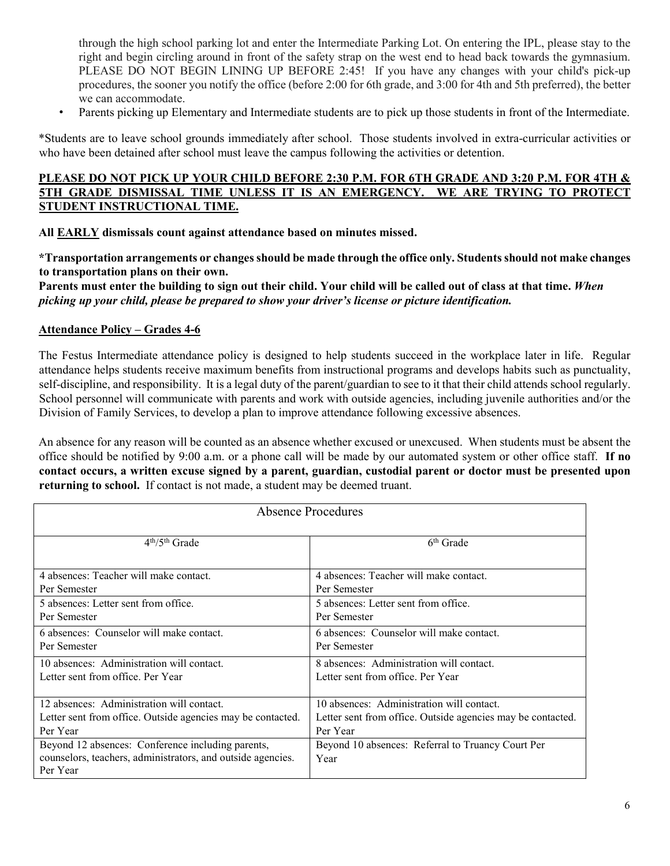through the high school parking lot and enter the Intermediate Parking Lot. On entering the IPL, please stay to the right and begin circling around in front of the safety strap on the west end to head back towards the gymnasium. PLEASE DO NOT BEGIN LINING UP BEFORE 2:45! If you have any changes with your child's pick-up procedures, the sooner you notify the office (before 2:00 for 6th grade, and 3:00 for 4th and 5th preferred), the better we can accommodate.

• Parents picking up Elementary and Intermediate students are to pick up those students in front of the Intermediate.

\*Students are to leave school grounds immediately after school. Those students involved in extra-curricular activities or who have been detained after school must leave the campus following the activities or detention.

#### **PLEASE DO NOT PICK UP YOUR CHILD BEFORE 2:30 P.M. FOR 6TH GRADE AND 3:20 P.M. FOR 4TH & 5TH GRADE DISMISSAL TIME UNLESS IT IS AN EMERGENCY. WE ARE TRYING TO PROTECT STUDENT INSTRUCTIONAL TIME.**

**All EARLY dismissals count against attendance based on minutes missed.** 

**\*Transportation arrangements or changes should be made through the office only. Students should not make changes to transportation plans on their own.** 

**Parents must enter the building to sign out their child. Your child will be called out of class at that time.** *When picking up your child, please be prepared to show your driver's license or picture identification.* 

#### **Attendance Policy – Grades 4-6**

The Festus Intermediate attendance policy is designed to help students succeed in the workplace later in life. Regular attendance helps students receive maximum benefits from instructional programs and develops habits such as punctuality, self-discipline, and responsibility. It is a legal duty of the parent/guardian to see to it that their child attends school regularly. School personnel will communicate with parents and work with outside agencies, including juvenile authorities and/or the Division of Family Services, to develop a plan to improve attendance following excessive absences.

An absence for any reason will be counted as an absence whether excused or unexcused. When students must be absent the office should be notified by 9:00 a.m. or a phone call will be made by our automated system or other office staff. **If no contact occurs, a written excuse signed by a parent, guardian, custodial parent or doctor must be presented upon returning to school.** If contact is not made, a student may be deemed truant.

| <b>Absence Procedures</b>                                                                                                    |                                                             |  |  |
|------------------------------------------------------------------------------------------------------------------------------|-------------------------------------------------------------|--|--|
| $4th/5th$ Grade                                                                                                              | $6th$ Grade                                                 |  |  |
| 4 absences: Teacher will make contact.                                                                                       | 4 absences: Teacher will make contact.                      |  |  |
| Per Semester                                                                                                                 | Per Semester                                                |  |  |
| 5 absences: Letter sent from office.                                                                                         | 5 absences: Letter sent from office.                        |  |  |
| Per Semester                                                                                                                 | Per Semester                                                |  |  |
| 6 absences: Counselor will make contact.                                                                                     | 6 absences: Counselor will make contact.                    |  |  |
| Per Semester                                                                                                                 | Per Semester                                                |  |  |
| 10 absences: Administration will contact.                                                                                    | 8 absences: Administration will contact.                    |  |  |
| Letter sent from office. Per Year                                                                                            | Letter sent from office. Per Year                           |  |  |
| 12 absences: Administration will contact.                                                                                    | 10 absences: Administration will contact.                   |  |  |
| Letter sent from office. Outside agencies may be contacted.                                                                  | Letter sent from office. Outside agencies may be contacted. |  |  |
| Per Year                                                                                                                     | Per Year                                                    |  |  |
| Beyond 12 absences: Conference including parents,<br>counselors, teachers, administrators, and outside agencies.<br>Per Year | Beyond 10 absences: Referral to Truancy Court Per<br>Year   |  |  |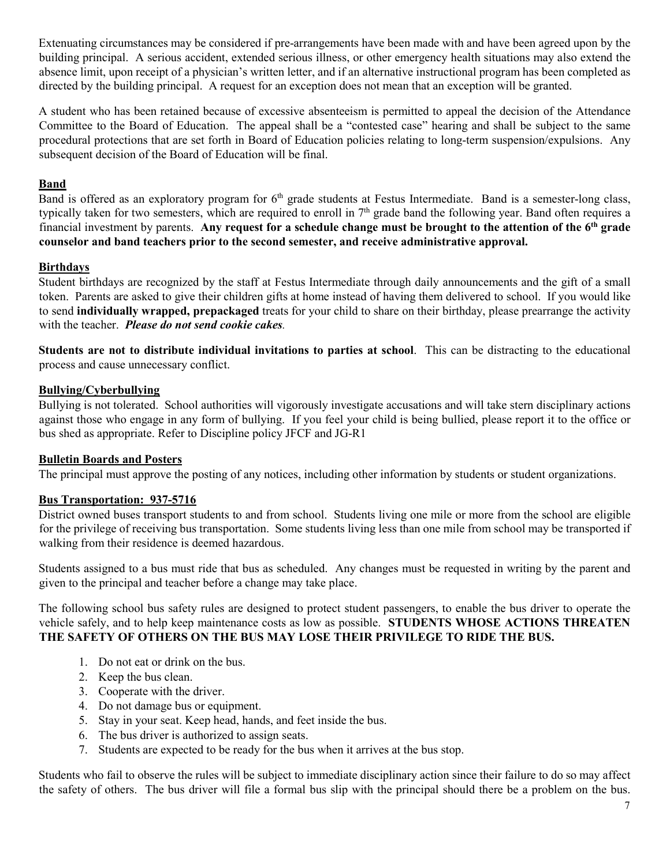Extenuating circumstances may be considered if pre-arrangements have been made with and have been agreed upon by the building principal. A serious accident, extended serious illness, or other emergency health situations may also extend the absence limit, upon receipt of a physician's written letter, and if an alternative instructional program has been completed as directed by the building principal. A request for an exception does not mean that an exception will be granted.

A student who has been retained because of excessive absenteeism is permitted to appeal the decision of the Attendance Committee to the Board of Education. The appeal shall be a "contested case" hearing and shall be subject to the same procedural protections that are set forth in Board of Education policies relating to long-term suspension/expulsions. Any subsequent decision of the Board of Education will be final.

#### **Band**

Band is offered as an exploratory program for 6<sup>th</sup> grade students at Festus Intermediate. Band is a semester-long class, typically taken for two semesters, which are required to enroll in 7th grade band the following year. Band often requires a financial investment by parents. **Any request for a schedule change must be brought to the attention of the 6th grade counselor and band teachers prior to the second semester, and receive administrative approval.** 

# **Birthdays**

Student birthdays are recognized by the staff at Festus Intermediate through daily announcements and the gift of a small token. Parents are asked to give their children gifts at home instead of having them delivered to school. If you would like to send **individually wrapped, prepackaged** treats for your child to share on their birthday, please prearrange the activity with the teacher. *Please do not send cookie cakes.*

**Students are not to distribute individual invitations to parties at school**. This can be distracting to the educational process and cause unnecessary conflict.

#### **Bullying/Cyberbullying**

Bullying is not tolerated. School authorities will vigorously investigate accusations and will take stern disciplinary actions against those who engage in any form of bullying. If you feel your child is being bullied, please report it to the office or bus shed as appropriate. Refer to Discipline policy JFCF and JG-R1

#### **Bulletin Boards and Posters**

The principal must approve the posting of any notices, including other information by students or student organizations.

#### **Bus Transportation: 937-5716**

District owned buses transport students to and from school. Students living one mile or more from the school are eligible for the privilege of receiving bus transportation. Some students living less than one mile from school may be transported if walking from their residence is deemed hazardous.

Students assigned to a bus must ride that bus as scheduled. Any changes must be requested in writing by the parent and given to the principal and teacher before a change may take place.

The following school bus safety rules are designed to protect student passengers, to enable the bus driver to operate the vehicle safely, and to help keep maintenance costs as low as possible. **STUDENTS WHOSE ACTIONS THREATEN THE SAFETY OF OTHERS ON THE BUS MAY LOSE THEIR PRIVILEGE TO RIDE THE BUS.** 

- 1. Do not eat or drink on the bus.
- 2. Keep the bus clean.
- 3. Cooperate with the driver.
- 4. Do not damage bus or equipment.
- 5. Stay in your seat. Keep head, hands, and feet inside the bus.
- 6. The bus driver is authorized to assign seats.
- 7. Students are expected to be ready for the bus when it arrives at the bus stop.

Students who fail to observe the rules will be subject to immediate disciplinary action since their failure to do so may affect the safety of others. The bus driver will file a formal bus slip with the principal should there be a problem on the bus.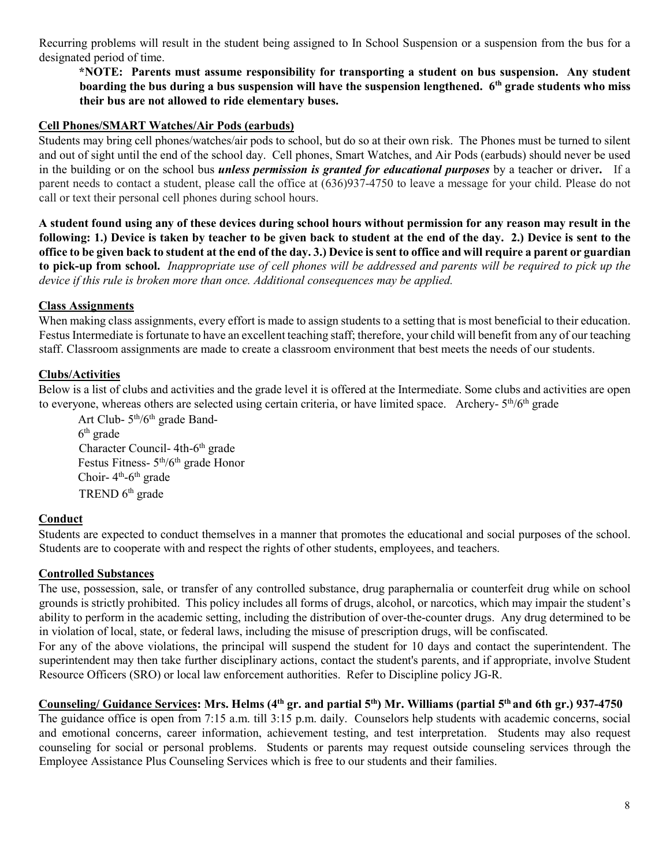Recurring problems will result in the student being assigned to In School Suspension or a suspension from the bus for a designated period of time.

**\*NOTE: Parents must assume responsibility for transporting a student on bus suspension. Any student boarding the bus during a bus suspension will have the suspension lengthened. 6th grade students who miss their bus are not allowed to ride elementary buses.** 

#### **Cell Phones/SMART Watches/Air Pods (earbuds)**

Students may bring cell phones/watches/air pods to school, but do so at their own risk. The Phones must be turned to silent and out of sight until the end of the school day. Cell phones, Smart Watches, and Air Pods (earbuds) should never be used in the building or on the school bus *unless permission is granted for educational purposes* by a teacher or driver**.** If a parent needs to contact a student, please call the office at (636)937-4750 to leave a message for your child. Please do not call or text their personal cell phones during school hours.

**A student found using any of these devices during school hours without permission for any reason may result in the following: 1.) Device is taken by teacher to be given back to student at the end of the day. 2.) Device is sent to the office to be given back to student at the end of the day. 3.) Device is sent to office and will require a parent or guardian to pick-up from school.** *Inappropriate use of cell phones will be addressed and parents will be required to pick up the device if this rule is broken more than once. Additional consequences may be applied.* 

#### **Class Assignments**

When making class assignments, every effort is made to assign students to a setting that is most beneficial to their education. Festus Intermediate is fortunate to have an excellent teaching staff; therefore, your child will benefit from any of our teaching staff. Classroom assignments are made to create a classroom environment that best meets the needs of our students.

#### **Clubs/Activities**

Below is a list of clubs and activities and the grade level it is offered at the Intermediate. Some clubs and activities are open to everyone, whereas others are selected using certain criteria, or have limited space. Archery-  $5<sup>th</sup>/6<sup>th</sup>$  grade

Art Club-  $5<sup>th</sup>/6<sup>th</sup>$  grade Band- $6<sup>th</sup>$  grade Character Council- 4th-6th grade Festus Fitness- $5<sup>th</sup>/6<sup>th</sup>$  grade Honor Choir- $4<sup>th</sup>$ -6<sup>th</sup> grade TREND  $6<sup>th</sup>$  grade

#### **Conduct**

Students are expected to conduct themselves in a manner that promotes the educational and social purposes of the school. Students are to cooperate with and respect the rights of other students, employees, and teachers.

#### **Controlled Substances**

The use, possession, sale, or transfer of any controlled substance, drug paraphernalia or counterfeit drug while on school grounds is strictly prohibited. This policy includes all forms of drugs, alcohol, or narcotics, which may impair the student's ability to perform in the academic setting, including the distribution of over-the-counter drugs. Any drug determined to be in violation of local, state, or federal laws, including the misuse of prescription drugs, will be confiscated.

For any of the above violations, the principal will suspend the student for 10 days and contact the superintendent. The superintendent may then take further disciplinary actions, contact the student's parents, and if appropriate, involve Student Resource Officers (SRO) or local law enforcement authorities. Refer to Discipline policy JG-R.

# Counseling/ Guidance Services: Mrs. Helms (4<sup>th</sup> gr. and partial 5<sup>th</sup>) Mr. Williams (partial 5<sup>th</sup> and 6th gr.) 937-4750

The guidance office is open from 7:15 a.m. till 3:15 p.m. daily. Counselors help students with academic concerns, social and emotional concerns, career information, achievement testing, and test interpretation. Students may also request counseling for social or personal problems. Students or parents may request outside counseling services through the Employee Assistance Plus Counseling Services which is free to our students and their families.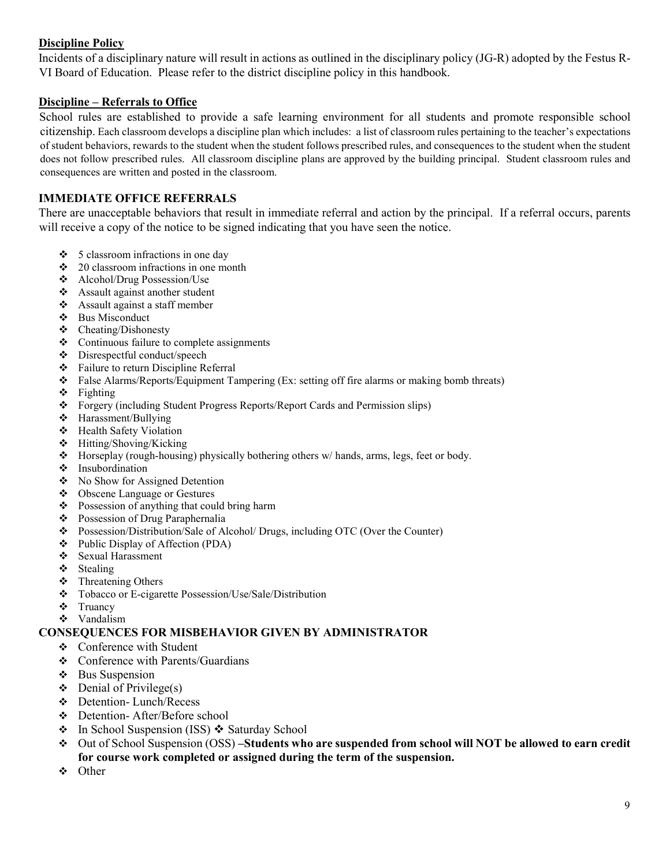# **Discipline Policy**

Incidents of a disciplinary nature will result in actions as outlined in the disciplinary policy (JG-R) adopted by the Festus R-VI Board of Education. Please refer to the district discipline policy in this handbook.

#### **Discipline – Referrals to Office**

School rules are established to provide a safe learning environment for all students and promote responsible school citizenship. Each classroom develops a discipline plan which includes: a list of classroom rules pertaining to the teacher's expectations of student behaviors, rewards to the student when the student follows prescribed rules, and consequences to the student when the student does not follow prescribed rules. All classroom discipline plans are approved by the building principal. Student classroom rules and consequences are written and posted in the classroom.

# **IMMEDIATE OFFICE REFERRALS**

There are unacceptable behaviors that result in immediate referral and action by the principal. If a referral occurs, parents will receive a copy of the notice to be signed indicating that you have seen the notice.

- $\div$  5 classroom infractions in one day
- $\div$  20 classroom infractions in one month
- Alcohol/Drug Possession/Use
- Assault against another student
- Assault against a staff member
- Bus Misconduct
- Cheating/Dishonesty
- ❖ Continuous failure to complete assignments
- Disrespectful conduct/speech
- Failure to return Discipline Referral
- $\bullet$  False Alarms/Reports/Equipment Tampering (Ex: setting off fire alarms or making bomb threats)
- $\div$  Fighting
- Forgery (including Student Progress Reports/Report Cards and Permission slips)
- ❖ Harassment/Bullying
- ❖ Health Safety Violation
- Hitting/Shoving/Kicking
- $\bullet$  Horseplay (rough-housing) physically bothering others w/ hands, arms, legs, feet or body.
- ❖ Insubordination
- No Show for Assigned Detention
- Obscene Language or Gestures
- ❖ Possession of anything that could bring harm
- Possession of Drug Paraphernalia
- Possession/Distribution/Sale of Alcohol/ Drugs, including OTC (Over the Counter)
- ❖ Public Display of Affection (PDA)
- Sexual Harassment
- ❖ Stealing
- 
- ❖ Threatening Others<br>❖ Tobacco or E-cigare Tobacco or E-cigarette Possession/Use/Sale/Distribution
- Truancy
- Vandalism

#### **CONSEQUENCES FOR MISBEHAVIOR GIVEN BY ADMINISTRATOR**

- Conference with Student
- Conference with Parents/Guardians
- ❖ Bus Suspension
- $\triangleleft$  Denial of Privilege(s)
- Detention- Lunch/Recess
- Detention- After/Before school
- ❖ In School Suspension (ISS) ❖ Saturday School
- Out of School Suspension (OSS) **–Students who are suspended from school will NOT be allowed to earn credit for course work completed or assigned during the term of the suspension.**
- Other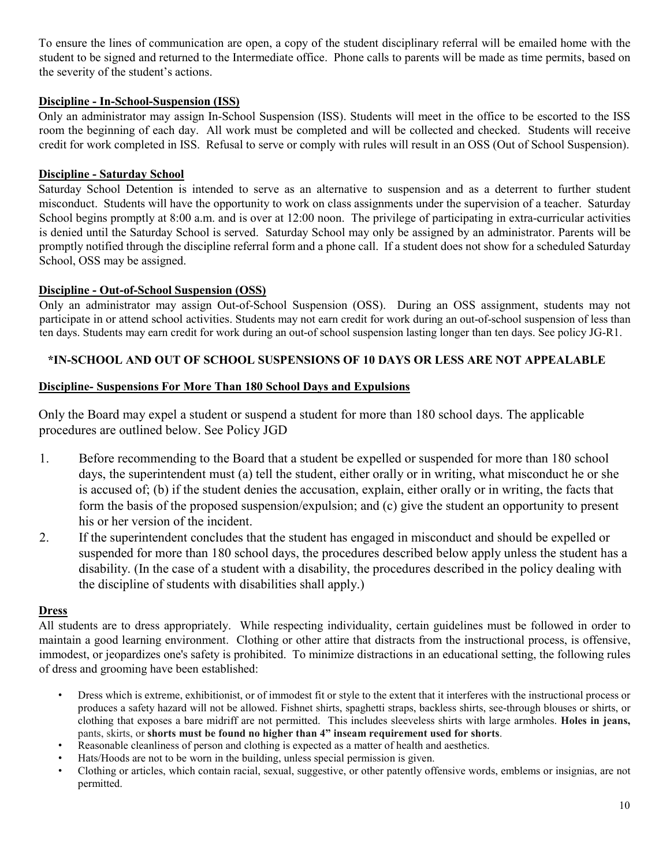To ensure the lines of communication are open, a copy of the student disciplinary referral will be emailed home with the student to be signed and returned to the Intermediate office. Phone calls to parents will be made as time permits, based on the severity of the student's actions.

#### **Discipline - In-School-Suspension (ISS)**

Only an administrator may assign In-School Suspension (ISS). Students will meet in the office to be escorted to the ISS room the beginning of each day. All work must be completed and will be collected and checked. Students will receive credit for work completed in ISS. Refusal to serve or comply with rules will result in an OSS (Out of School Suspension).

#### **Discipline - Saturday School**

Saturday School Detention is intended to serve as an alternative to suspension and as a deterrent to further student misconduct. Students will have the opportunity to work on class assignments under the supervision of a teacher. Saturday School begins promptly at 8:00 a.m. and is over at 12:00 noon. The privilege of participating in extra-curricular activities is denied until the Saturday School is served. Saturday School may only be assigned by an administrator. Parents will be promptly notified through the discipline referral form and a phone call. If a student does not show for a scheduled Saturday School, OSS may be assigned.

#### **Discipline - Out-of-School Suspension (OSS)**

Only an administrator may assign Out-of-School Suspension (OSS). During an OSS assignment, students may not participate in or attend school activities. Students may not earn credit for work during an out-of-school suspension of less than ten days. Students may earn credit for work during an out-of school suspension lasting longer than ten days. See policy JG-R1.

#### **\*IN-SCHOOL AND OUT OF SCHOOL SUSPENSIONS OF 10 DAYS OR LESS ARE NOT APPEALABLE**

#### **Discipline- Suspensions For More Than 180 School Days and Expulsions**

Only the Board may expel a student or suspend a student for more than 180 school days. The applicable procedures are outlined below. See Policy JGD

- 1. Before recommending to the Board that a student be expelled or suspended for more than 180 school days, the superintendent must (a) tell the student, either orally or in writing, what misconduct he or she is accused of; (b) if the student denies the accusation, explain, either orally or in writing, the facts that form the basis of the proposed suspension/expulsion; and (c) give the student an opportunity to present his or her version of the incident.
- 2. If the superintendent concludes that the student has engaged in misconduct and should be expelled or suspended for more than 180 school days, the procedures described below apply unless the student has a disability. (In the case of a student with a disability, the procedures described in the policy dealing with the discipline of students with disabilities shall apply.)

#### **Dress**

All students are to dress appropriately. While respecting individuality, certain guidelines must be followed in order to maintain a good learning environment. Clothing or other attire that distracts from the instructional process, is offensive, immodest, or jeopardizes one's safety is prohibited. To minimize distractions in an educational setting, the following rules of dress and grooming have been established:

- Dress which is extreme, exhibitionist, or of immodest fit or style to the extent that it interferes with the instructional process or produces a safety hazard will not be allowed. Fishnet shirts, spaghetti straps, backless shirts, see-through blouses or shirts, or clothing that exposes a bare midriff are not permitted. This includes sleeveless shirts with large armholes. **Holes in jeans,**  pants, skirts, or **shorts must be found no higher than 4" inseam requirement used for shorts**.
- Reasonable cleanliness of person and clothing is expected as a matter of health and aesthetics.
- Hats/Hoods are not to be worn in the building, unless special permission is given.
- Clothing or articles, which contain racial, sexual, suggestive, or other patently offensive words, emblems or insignias, are not permitted.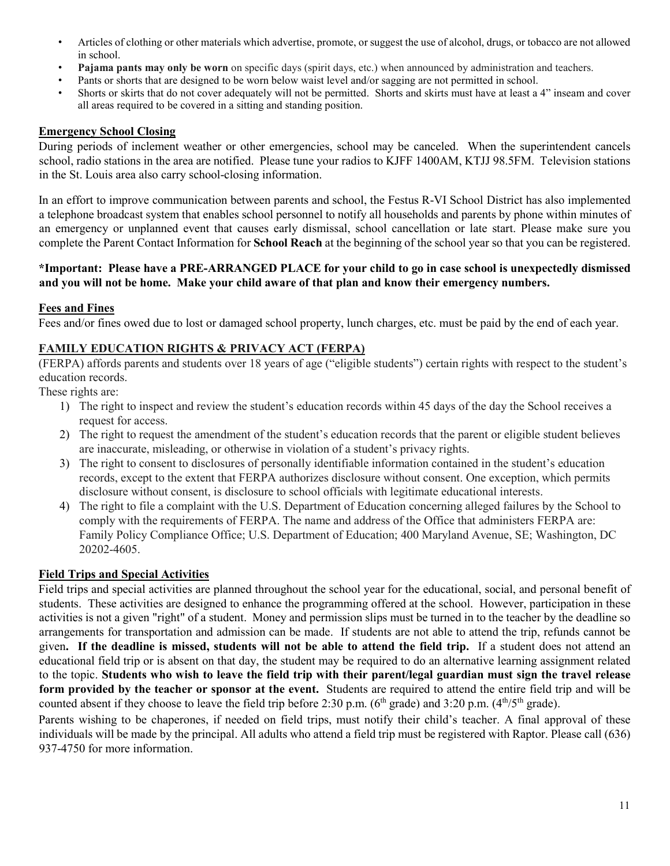- Articles of clothing or other materials which advertise, promote, or suggest the use of alcohol, drugs, or tobacco are not allowed in school.
- **Pajama pants may only be worn** on specific days (spirit days, etc.) when announced by administration and teachers.
- Pants or shorts that are designed to be worn below waist level and/or sagging are not permitted in school.
- Shorts or skirts that do not cover adequately will not be permitted. Shorts and skirts must have at least a 4" inseam and cover all areas required to be covered in a sitting and standing position.

#### **Emergency School Closing**

During periods of inclement weather or other emergencies, school may be canceled. When the superintendent cancels school, radio stations in the area are notified. Please tune your radios to KJFF 1400AM, KTJJ 98.5FM. Television stations in the St. Louis area also carry school-closing information.

In an effort to improve communication between parents and school, the Festus R-VI School District has also implemented a telephone broadcast system that enables school personnel to notify all households and parents by phone within minutes of an emergency or unplanned event that causes early dismissal, school cancellation or late start. Please make sure you complete the Parent Contact Information for **School Reach** at the beginning of the school year so that you can be registered.

#### **\*Important: Please have a PRE-ARRANGED PLACE for your child to go in case school is unexpectedly dismissed and you will not be home. Make your child aware of that plan and know their emergency numbers.**

#### **Fees and Fines**

Fees and/or fines owed due to lost or damaged school property, lunch charges, etc. must be paid by the end of each year.

#### **FAMILY EDUCATION RIGHTS & PRIVACY ACT (FERPA)**

(FERPA) affords parents and students over 18 years of age ("eligible students") certain rights with respect to the student's education records.

These rights are:

- 1) The right to inspect and review the student's education records within 45 days of the day the School receives a request for access.
- 2) The right to request the amendment of the student's education records that the parent or eligible student believes are inaccurate, misleading, or otherwise in violation of a student's privacy rights.
- 3) The right to consent to disclosures of personally identifiable information contained in the student's education records, except to the extent that FERPA authorizes disclosure without consent. One exception, which permits disclosure without consent, is disclosure to school officials with legitimate educational interests.
- 4) The right to file a complaint with the U.S. Department of Education concerning alleged failures by the School to comply with the requirements of FERPA. The name and address of the Office that administers FERPA are: Family Policy Compliance Office; U.S. Department of Education; 400 Maryland Avenue, SE; Washington, DC 20202-4605.

#### **Field Trips and Special Activities**

Field trips and special activities are planned throughout the school year for the educational, social, and personal benefit of students. These activities are designed to enhance the programming offered at the school. However, participation in these activities is not a given "right" of a student. Money and permission slips must be turned in to the teacher by the deadline so arrangements for transportation and admission can be made. If students are not able to attend the trip, refunds cannot be given**. If the deadline is missed, students will not be able to attend the field trip.** If a student does not attend an educational field trip or is absent on that day, the student may be required to do an alternative learning assignment related to the topic. **Students who wish to leave the field trip with their parent/legal guardian must sign the travel release form provided by the teacher or sponsor at the event.** Students are required to attend the entire field trip and will be counted absent if they choose to leave the field trip before 2:30 p.m. (6<sup>th</sup> grade) and 3:20 p.m. (4<sup>th</sup>/5<sup>th</sup> grade).

Parents wishing to be chaperones, if needed on field trips, must notify their child's teacher. A final approval of these individuals will be made by the principal. All adults who attend a field trip must be registered with Raptor. Please call (636) 937-4750 for more information.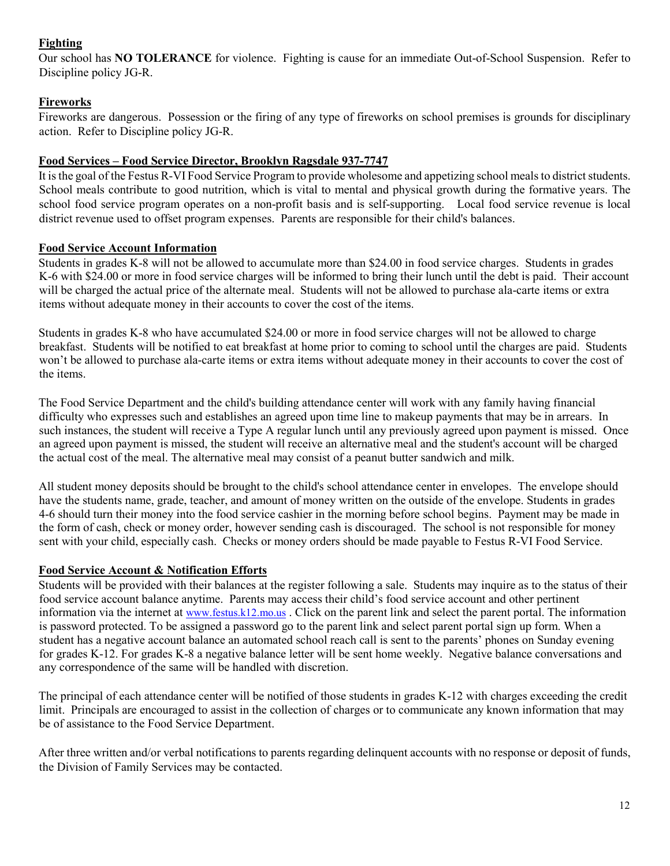#### **Fighting**

Our school has **NO TOLERANCE** for violence. Fighting is cause for an immediate Out-of-School Suspension. Refer to Discipline policy JG-R.

# **Fireworks**

Fireworks are dangerous. Possession or the firing of any type of fireworks on school premises is grounds for disciplinary action. Refer to Discipline policy JG-R.

#### **Food Services – Food Service Director, Brooklyn Ragsdale 937-7747**

It is the goal of the Festus R-VI Food Service Program to provide wholesome and appetizing school meals to district students. School meals contribute to good nutrition, which is vital to mental and physical growth during the formative years. The school food service program operates on a non-profit basis and is self-supporting. Local food service revenue is local district revenue used to offset program expenses. Parents are responsible for their child's balances.

#### **Food Service Account Information**

Students in grades K-8 will not be allowed to accumulate more than \$24.00 in food service charges. Students in grades K-6 with \$24.00 or more in food service charges will be informed to bring their lunch until the debt is paid. Their account will be charged the actual price of the alternate meal. Students will not be allowed to purchase ala-carte items or extra items without adequate money in their accounts to cover the cost of the items.

Students in grades K-8 who have accumulated \$24.00 or more in food service charges will not be allowed to charge breakfast. Students will be notified to eat breakfast at home prior to coming to school until the charges are paid. Students won't be allowed to purchase ala-carte items or extra items without adequate money in their accounts to cover the cost of the items.

The Food Service Department and the child's building attendance center will work with any family having financial difficulty who expresses such and establishes an agreed upon time line to makeup payments that may be in arrears. In such instances, the student will receive a Type A regular lunch until any previously agreed upon payment is missed. Once an agreed upon payment is missed, the student will receive an alternative meal and the student's account will be charged the actual cost of the meal. The alternative meal may consist of a peanut butter sandwich and milk.

All student money deposits should be brought to the child's school attendance center in envelopes. The envelope should have the students name, grade, teacher, and amount of money written on the outside of the envelope. Students in grades 4-6 should turn their money into the food service cashier in the morning before school begins. Payment may be made in the form of cash, check or money order, however sending cash is discouraged. The school is not responsible for money sent with your child, especially cash. Checks or money orders should be made payable to Festus R-VI Food Service.

#### **Food Service Account & Notification Efforts**

Students will be provided with their balances at the register following a sale. Students may inquire as to the status of their food service account balance anytime. Parents may access their child's food service account and other pertinent information via the internet at [www.festus.k12.mo.us](http://www.festus.k12.mo.us/)[.](http://www.festus.k12.mo.us/) Click on the parent link and select the parent portal. The information is password protected. To be assigned a password go to the parent link and select parent portal sign up form. When a student has a negative account balance an automated school reach call is sent to the parents' phones on Sunday evening for grades K-12. For grades K-8 a negative balance letter will be sent home weekly. Negative balance conversations and any correspondence of the same will be handled with discretion.

The principal of each attendance center will be notified of those students in grades K-12 with charges exceeding the credit limit. Principals are encouraged to assist in the collection of charges or to communicate any known information that may be of assistance to the Food Service Department.

After three written and/or verbal notifications to parents regarding delinquent accounts with no response or deposit of funds, the Division of Family Services may be contacted.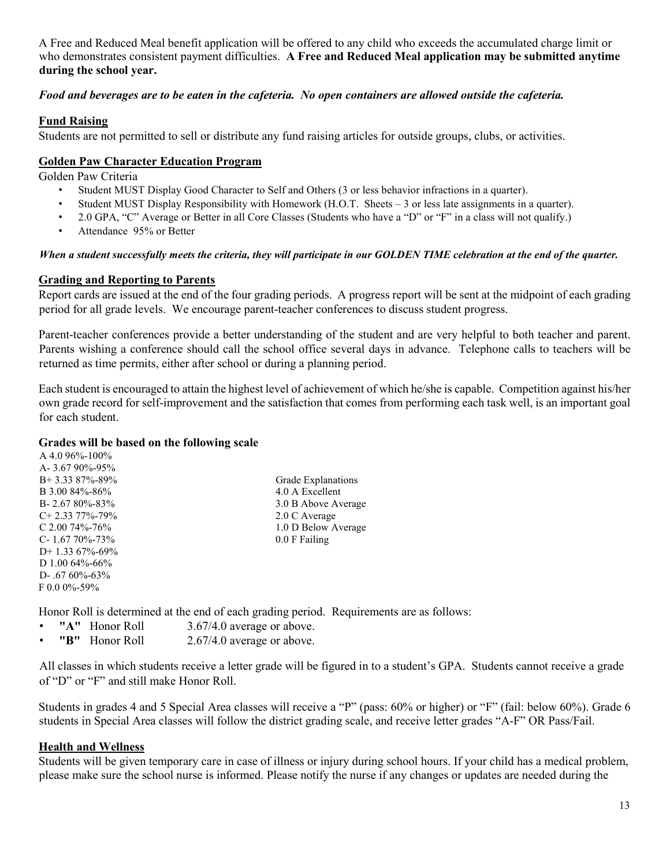A Free and Reduced Meal benefit application will be offered to any child who exceeds the accumulated charge limit or who demonstrates consistent payment difficulties. **A Free and Reduced Meal application may be submitted anytime during the school year.** 

#### *Food and beverages are to be eaten in the cafeteria. No open containers are allowed outside the cafeteria.*

#### **Fund Raising**

Students are not permitted to sell or distribute any fund raising articles for outside groups, clubs, or activities.

#### **Golden Paw Character Education Program**

Golden Paw Criteria

- Student MUST Display Good Character to Self and Others (3 or less behavior infractions in a quarter).
- Student MUST Display Responsibility with Homework (H.O.T. Sheets 3 or less late assignments in a quarter).
- 2.0 GPA, "C" Average or Better in all Core Classes (Students who have a "D" or "F" in a class will not qualify.)
- Attendance 95% or Better

#### *When a student successfully meets the criteria, they will participate in our GOLDEN TIME celebration at the end of the quarter.*

#### **Grading and Reporting to Parents**

Report cards are issued at the end of the four grading periods. A progress report will be sent at the midpoint of each grading period for all grade levels. We encourage parent-teacher conferences to discuss student progress.

Parent-teacher conferences provide a better understanding of the student and are very helpful to both teacher and parent. Parents wishing a conference should call the school office several days in advance. Telephone calls to teachers will be returned as time permits, either after school or during a planning period.

Each student is encouraged to attain the highest level of achievement of which he/she is capable. Competition against his/her own grade record for self-improvement and the satisfaction that comes from performing each task well, is an important goal for each student.

#### **Grades will be based on the following scale**

| A 4.0 96%-100%        |
|-----------------------|
| A-3.67 90%-95%        |
| $B + 3.3387\% - 89\%$ |
| B 3.00 84%-86%        |
| B-2.6780%-83%         |
| $C+2.3377\% -79\%$    |
| $C$ 2.00 74%-76%      |
| $C - 1.6779\% - 73\%$ |
| $D+1.3367\% -69\%$    |
| D 1.00 $64\% - 66\%$  |
| D-.67 $60\%$ -63%     |
| $F 0.00\% - 59\%$     |

Grade Explanations 4.0 A Excellent 3.0 B Above Average 2.0 C Average 1.0 D Below Average  $0.0 F$  Failing

Honor Roll is determined at the end of each grading period. Requirements are as follows:

- "A" Honor Roll 3.67/4.0 average or above.
- **"B"** Honor Roll 2.67/4.0 average or above.

All classes in which students receive a letter grade will be figured in to a student's GPA. Students cannot receive a grade of "D" or "F" and still make Honor Roll.

Students in grades 4 and 5 Special Area classes will receive a "P" (pass: 60% or higher) or "F" (fail: below 60%). Grade 6 students in Special Area classes will follow the district grading scale, and receive letter grades "A-F" OR Pass/Fail.

#### **Health and Wellness**

Students will be given temporary care in case of illness or injury during school hours. If your child has a medical problem, please make sure the school nurse is informed. Please notify the nurse if any changes or updates are needed during the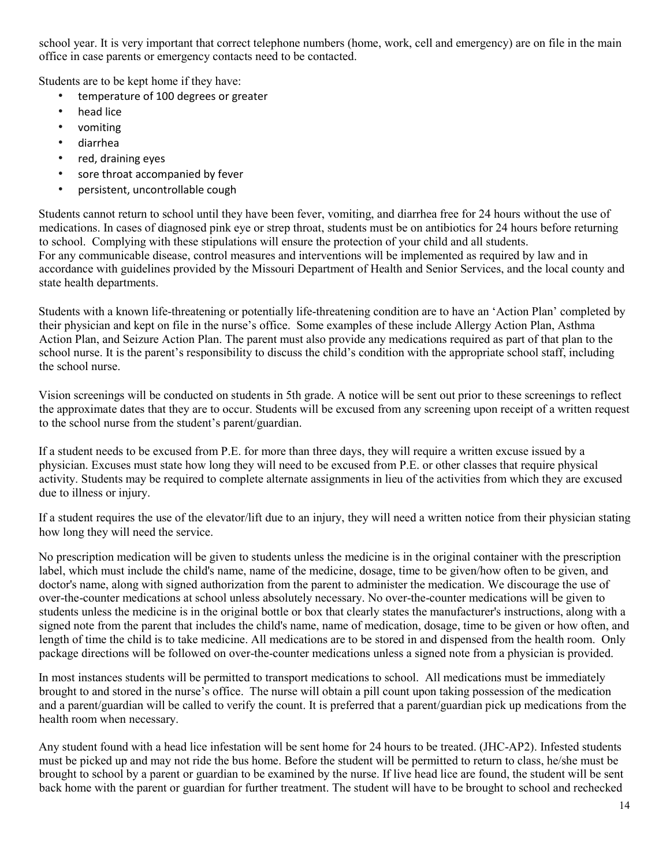school year. It is very important that correct telephone numbers (home, work, cell and emergency) are on file in the main office in case parents or emergency contacts need to be contacted.

Students are to be kept home if they have:

- temperature of 100 degrees or greater
- head lice
- vomiting
- diarrhea
- red, draining eyes
- sore throat accompanied by fever
- persistent, uncontrollable cough

Students cannot return to school until they have been fever, vomiting, and diarrhea free for 24 hours without the use of medications. In cases of diagnosed pink eye or strep throat, students must be on antibiotics for 24 hours before returning to school. Complying with these stipulations will ensure the protection of your child and all students. For any communicable disease, control measures and interventions will be implemented as required by law and in accordance with guidelines provided by the Missouri Department of Health and Senior Services, and the local county and state health departments.

Students with a known life-threatening or potentially life-threatening condition are to have an 'Action Plan' completed by their physician and kept on file in the nurse's office. Some examples of these include Allergy Action Plan, Asthma Action Plan, and Seizure Action Plan. The parent must also provide any medications required as part of that plan to the school nurse. It is the parent's responsibility to discuss the child's condition with the appropriate school staff, including the school nurse.

Vision screenings will be conducted on students in 5th grade. A notice will be sent out prior to these screenings to reflect the approximate dates that they are to occur. Students will be excused from any screening upon receipt of a written request to the school nurse from the student's parent/guardian.

If a student needs to be excused from P.E. for more than three days, they will require a written excuse issued by a physician. Excuses must state how long they will need to be excused from P.E. or other classes that require physical activity. Students may be required to complete alternate assignments in lieu of the activities from which they are excused due to illness or injury.

If a student requires the use of the elevator/lift due to an injury, they will need a written notice from their physician stating how long they will need the service.

No prescription medication will be given to students unless the medicine is in the original container with the prescription label, which must include the child's name, name of the medicine, dosage, time to be given/how often to be given, and doctor's name, along with signed authorization from the parent to administer the medication. We discourage the use of over-the-counter medications at school unless absolutely necessary. No over-the-counter medications will be given to students unless the medicine is in the original bottle or box that clearly states the manufacturer's instructions, along with a signed note from the parent that includes the child's name, name of medication, dosage, time to be given or how often, and length of time the child is to take medicine. All medications are to be stored in and dispensed from the health room. Only package directions will be followed on over-the-counter medications unless a signed note from a physician is provided.

In most instances students will be permitted to transport medications to school. All medications must be immediately brought to and stored in the nurse's office. The nurse will obtain a pill count upon taking possession of the medication and a parent/guardian will be called to verify the count. It is preferred that a parent/guardian pick up medications from the health room when necessary.

Any student found with a head lice infestation will be sent home for 24 hours to be treated. (JHC-AP2). Infested students must be picked up and may not ride the bus home. Before the student will be permitted to return to class, he/she must be brought to school by a parent or guardian to be examined by the nurse. If live head lice are found, the student will be sent back home with the parent or guardian for further treatment. The student will have to be brought to school and rechecked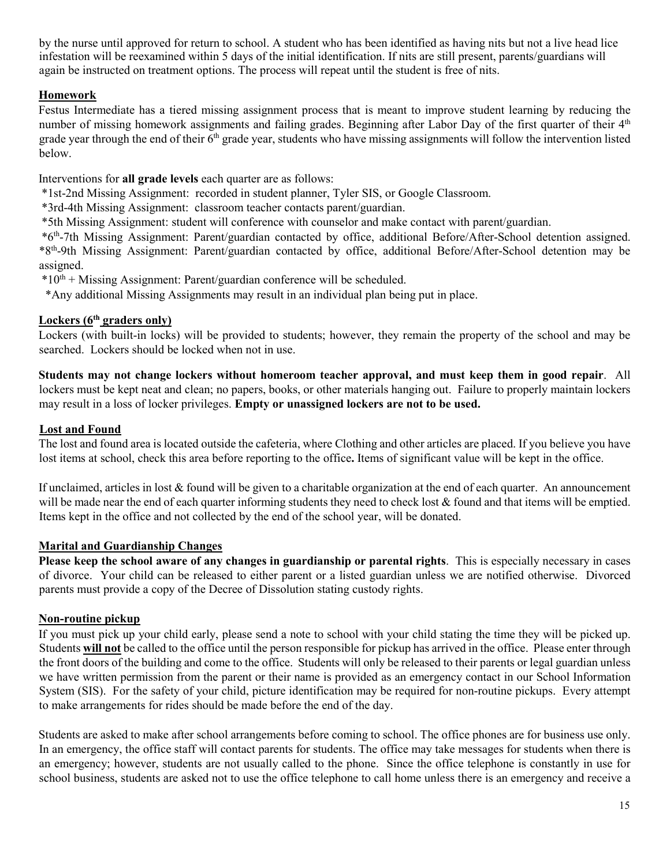by the nurse until approved for return to school. A student who has been identified as having nits but not a live head lice infestation will be reexamined within 5 days of the initial identification. If nits are still present, parents/guardians will again be instructed on treatment options. The process will repeat until the student is free of nits.

#### **Homework**

Festus Intermediate has a tiered missing assignment process that is meant to improve student learning by reducing the number of missing homework assignments and failing grades. Beginning after Labor Day of the first quarter of their 4<sup>th</sup> grade year through the end of their 6<sup>th</sup> grade year, students who have missing assignments will follow the intervention listed below.

Interventions for **all grade levels** each quarter are as follows:

\*1st-2nd Missing Assignment: recorded in student planner, Tyler SIS, or Google Classroom.

\*3rd-4th Missing Assignment: classroom teacher contacts parent/guardian.

\*5th Missing Assignment: student will conference with counselor and make contact with parent/guardian.

 \*6th-7th Missing Assignment: Parent/guardian contacted by office, additional Before/After-School detention assigned. \*8th-9th Missing Assignment: Parent/guardian contacted by office, additional Before/After-School detention may be assigned.

 $*10<sup>th</sup>$  + Missing Assignment: Parent/guardian conference will be scheduled.

\*Any additional Missing Assignments may result in an individual plan being put in place.

# **Lockers (6th graders only)**

Lockers (with built-in locks) will be provided to students; however, they remain the property of the school and may be searched. Lockers should be locked when not in use.

**Students may not change lockers without homeroom teacher approval, and must keep them in good repair**. All lockers must be kept neat and clean; no papers, books, or other materials hanging out. Failure to properly maintain lockers may result in a loss of locker privileges. **Empty or unassigned lockers are not to be used.** 

#### **Lost and Found**

The lost and found area is located outside the cafeteria, where Clothing and other articles are placed. If you believe you have lost items at school, check this area before reporting to the office**.** Items of significant value will be kept in the office.

If unclaimed, articles in lost & found will be given to a charitable organization at the end of each quarter. An announcement will be made near the end of each quarter informing students they need to check lost  $\&$  found and that items will be emptied. Items kept in the office and not collected by the end of the school year, will be donated.

#### **Marital and Guardianship Changes**

**Please keep the school aware of any changes in guardianship or parental rights**. This is especially necessary in cases of divorce. Your child can be released to either parent or a listed guardian unless we are notified otherwise. Divorced parents must provide a copy of the Decree of Dissolution stating custody rights.

#### **Non-routine pickup**

If you must pick up your child early, please send a note to school with your child stating the time they will be picked up. Students **will not** be called to the office until the person responsible for pickup has arrived in the office. Please enter through the front doors of the building and come to the office. Students will only be released to their parents or legal guardian unless we have written permission from the parent or their name is provided as an emergency contact in our School Information System (SIS). For the safety of your child, picture identification may be required for non-routine pickups. Every attempt to make arrangements for rides should be made before the end of the day.

Students are asked to make after school arrangements before coming to school. The office phones are for business use only. In an emergency, the office staff will contact parents for students. The office may take messages for students when there is an emergency; however, students are not usually called to the phone. Since the office telephone is constantly in use for school business, students are asked not to use the office telephone to call home unless there is an emergency and receive a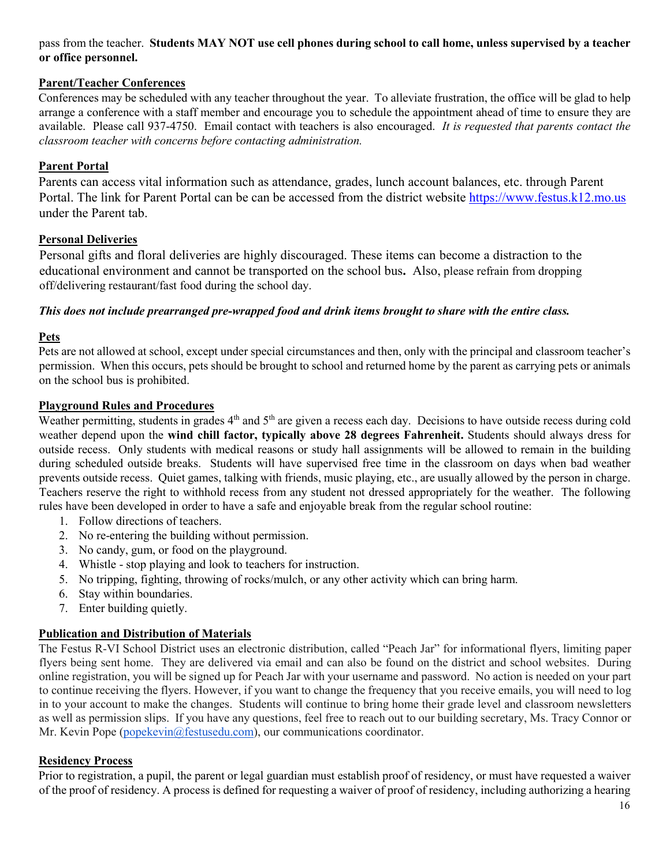#### pass from the teacher. **Students MAY NOT use cell phones during school to call home, unless supervised by a teacher or office personnel.**

#### **Parent/Teacher Conferences**

Conferences may be scheduled with any teacher throughout the year. To alleviate frustration, the office will be glad to help arrange a conference with a staff member and encourage you to schedule the appointment ahead of time to ensure they are available. Please call 937-4750. Email contact with teachers is also encouraged. *It is requested that parents contact the classroom teacher with concerns before contacting administration.* 

# **Parent Portal**

Parents can access vital information such as attendance, grades, lunch account balances, etc. through Parent Portal. The link for Parent Portal can be can be accessed from the district website [https://www.festus.k12.mo.us](https://www.festus.k12.mo.us/) under the Parent tab.

# **Personal Deliveries**

Personal gifts and floral deliveries are highly discouraged. These items can become a distraction to the educational environment and cannot be transported on the school bus**.** Also, please refrain from dropping off/delivering restaurant/fast food during the school day.

#### *This does not include prearranged pre-wrapped food and drink items brought to share with the entire class.*

#### **Pets**

Pets are not allowed at school, except under special circumstances and then, only with the principal and classroom teacher's permission. When this occurs, pets should be brought to school and returned home by the parent as carrying pets or animals on the school bus is prohibited.

#### **Playground Rules and Procedures**

Weather permitting, students in grades  $4<sup>th</sup>$  and  $5<sup>th</sup>$  are given a recess each day. Decisions to have outside recess during cold weather depend upon the **wind chill factor, typically above 28 degrees Fahrenheit.** Students should always dress for outside recess. Only students with medical reasons or study hall assignments will be allowed to remain in the building during scheduled outside breaks. Students will have supervised free time in the classroom on days when bad weather prevents outside recess. Quiet games, talking with friends, music playing, etc., are usually allowed by the person in charge. Teachers reserve the right to withhold recess from any student not dressed appropriately for the weather. The following rules have been developed in order to have a safe and enjoyable break from the regular school routine:

- 1. Follow directions of teachers.
- 2. No re-entering the building without permission.
- 3. No candy, gum, or food on the playground.
- 4. Whistle stop playing and look to teachers for instruction.
- 5. No tripping, fighting, throwing of rocks/mulch, or any other activity which can bring harm.
- 6. Stay within boundaries.
- 7. Enter building quietly.

# **Publication and Distribution of Materials**

The Festus R-VI School District uses an electronic distribution, called "Peach Jar" for informational flyers, limiting paper flyers being sent home. They are delivered via email and can also be found on the district and school websites. During online registration, you will be signed up for Peach Jar with your username and password. No action is needed on your part to continue receiving the flyers. However, if you want to change the frequency that you receive emails, you will need to log in to your account to make the changes. Students will continue to bring home their grade level and classroom newsletters as well as permission slips. If you have any questions, feel free to reach out to our building secretary, Ms. Tracy Connor or Mr. Kevin Pope (popekevin@festusedu.com), our communications coordinator.

#### **Residency Process**

Prior to registration, a pupil, the parent or legal guardian must establish proof of residency, or must have requested a waiver of the proof of residency. A process is defined for requesting a waiver of proof of residency, including authorizing a hearing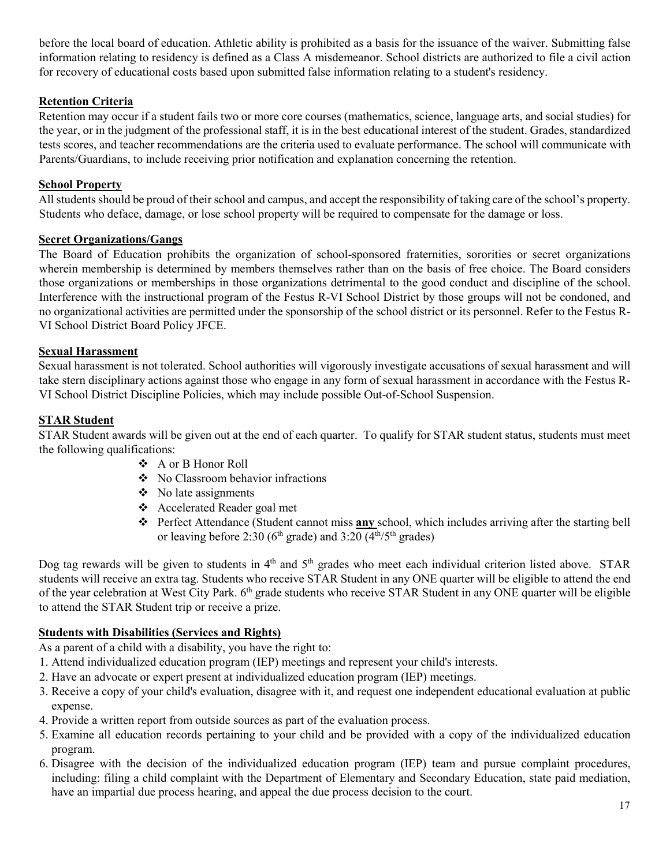before the local board of education. Athletic ability is prohibited as a basis for the issuance of the waiver. Submitting false information relating to residency is defined as a Class A misdemeanor. School districts are authorized to file a civil action for recovery of educational costs based upon submitted false information relating to a student's residency.

#### **Retention Criteria**

Retention may occur if a student fails two or more core courses (mathematics, science, language arts, and social studies) for the year, or in the judgment of the professional staff, it is in the best educational interest of the student. Grades, standardized tests scores, and teacher recommendations are the criteria used to evaluate performance. The school will communicate with Parents/Guardians, to include receiving prior notification and explanation concerning the retention.

#### **School Property**

All students should be proud of their school and campus, and accept the responsibility of taking care of the school's property. Students who deface, damage, or lose school property will be required to compensate for the damage or loss.

#### **Secret Organizations/Gangs**

The Board of Education prohibits the organization of school-sponsored fraternities, sororities or secret organizations wherein membership is determined by members themselves rather than on the basis of free choice. The Board considers those organizations or memberships in those organizations detrimental to the good conduct and discipline of the school. Interference with the instructional program of the Festus R-VI School District by those groups will not be condoned, and no organizational activities are permitted under the sponsorship of the school district or its personnel. Refer to the Festus R-VI School District Board Policy JFCE.

# **Sexual Harassment**

Sexual harassment is not tolerated. School authorities will vigorously investigate accusations of sexual harassment and will take stern disciplinary actions against those who engage in any form of sexual harassment in accordance with the Festus R-VI School District Discipline Policies, which may include possible Out-of-School Suspension.

# **STAR Student**

STAR Student awards will be given out at the end of each quarter. To qualify for STAR student status, students must meet the following qualifications:

- A or B Honor Roll
- No Classroom behavior infractions
- $\bullet$  No late assignments
- Accelerated Reader goal met
- Perfect Attendance (Student cannot miss **any** school, which includes arriving after the starting bell or leaving before 2:30 ( $6<sup>th</sup>$  grade) and 3:20 ( $4<sup>th</sup>/5<sup>th</sup>$  grades)

Dog tag rewards will be given to students in  $4<sup>th</sup>$  and  $5<sup>th</sup>$  grades who meet each individual criterion listed above. STAR students will receive an extra tag. Students who receive STAR Student in any ONE quarter will be eligible to attend the end of the year celebration at West City Park. 6<sup>th</sup> grade students who receive STAR Student in any ONE quarter will be eligible to attend the STAR Student trip or receive a prize.

# **Students with Disabilities (Services and Rights)**

As a parent of a child with a disability, you have the right to:

- 1. Attend individualized education program (IEP) meetings and represent your child's interests.
- 2. Have an advocate or expert present at individualized education program (IEP) meetings.
- 3. Receive a copy of your child's evaluation, disagree with it, and request one independent educational evaluation at public expense.
- 4. Provide a written report from outside sources as part of the evaluation process.
- 5. Examine all education records pertaining to your child and be provided with a copy of the individualized education program.
- 6. Disagree with the decision of the individualized education program (IEP) team and pursue complaint procedures, including: filing a child complaint with the Department of Elementary and Secondary Education, state paid mediation, have an impartial due process hearing, and appeal the due process decision to the court.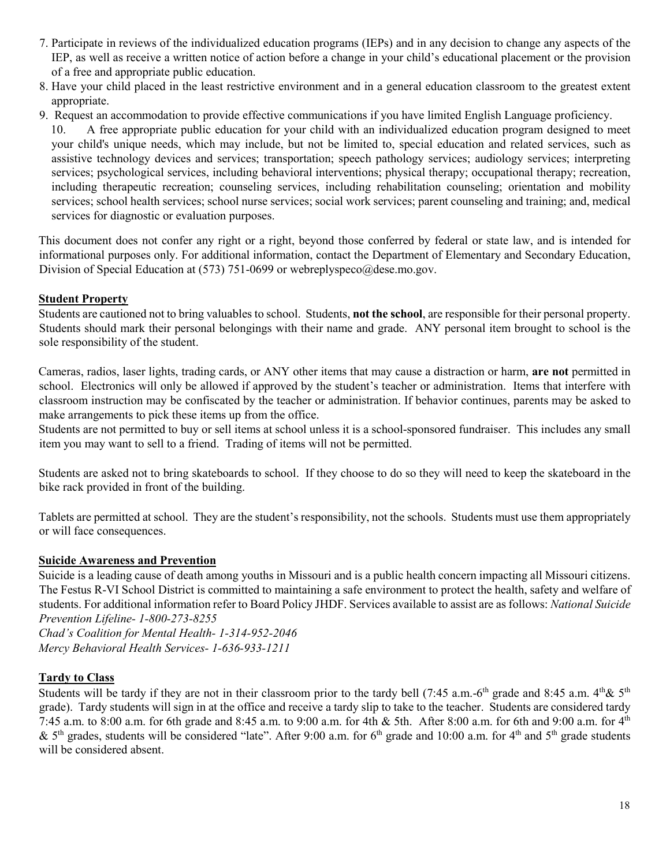- 7. Participate in reviews of the individualized education programs (IEPs) and in any decision to change any aspects of the IEP, as well as receive a written notice of action before a change in your child's educational placement or the provision of a free and appropriate public education.
- 8. Have your child placed in the least restrictive environment and in a general education classroom to the greatest extent appropriate.
- 9. Request an accommodation to provide effective communications if you have limited English Language proficiency.

10. A free appropriate public education for your child with an individualized education program designed to meet your child's unique needs, which may include, but not be limited to, special education and related services, such as assistive technology devices and services; transportation; speech pathology services; audiology services; interpreting services; psychological services, including behavioral interventions; physical therapy; occupational therapy; recreation, including therapeutic recreation; counseling services, including rehabilitation counseling; orientation and mobility services; school health services; school nurse services; social work services; parent counseling and training; and, medical services for diagnostic or evaluation purposes.

This document does not confer any right or a right, beyond those conferred by federal or state law, and is intended for informational purposes only. For additional information, contact the Department of Elementary and Secondary Education, Division of Special Education at (573) 751-0699 or webreplyspeco@dese.mo.gov.

#### **Student Property**

Students are cautioned not to bring valuables to school. Students, **not the school**, are responsible for their personal property. Students should mark their personal belongings with their name and grade. ANY personal item brought to school is the sole responsibility of the student.

Cameras, radios, laser lights, trading cards, or ANY other items that may cause a distraction or harm, **are not** permitted in school. Electronics will only be allowed if approved by the student's teacher or administration. Items that interfere with classroom instruction may be confiscated by the teacher or administration. If behavior continues, parents may be asked to make arrangements to pick these items up from the office.

Students are not permitted to buy or sell items at school unless it is a school-sponsored fundraiser. This includes any small item you may want to sell to a friend. Trading of items will not be permitted.

Students are asked not to bring skateboards to school. If they choose to do so they will need to keep the skateboard in the bike rack provided in front of the building.

Tablets are permitted at school. They are the student's responsibility, not the schools. Students must use them appropriately or will face consequences.

#### **Suicide Awareness and Prevention**

Suicide is a leading cause of death among youths in Missouri and is a public health concern impacting all Missouri citizens. The Festus R-VI School District is committed to maintaining a safe environment to protect the health, safety and welfare of students. For additional information refer to Board Policy JHDF. Services available to assist are as follows: *National Suicide Prevention Lifeline- 1-800-273-8255* 

*Chad's Coalition for Mental Health- 1-314-952-2046 Mercy Behavioral Health Services- 1-636-933-1211* 

#### **Tardy to Class**

Students will be tardy if they are not in their classroom prior to the tardy bell (7:45 a.m.-6<sup>th</sup> grade and 8:45 a.m. 4<sup>th</sup>  $\&$  5<sup>th</sup> grade). Tardy students will sign in at the office and receive a tardy slip to take to the teacher. Students are considered tardy 7:45 a.m. to 8:00 a.m. for 6th grade and 8:45 a.m. to 9:00 a.m. for 4th & 5th. After 8:00 a.m. for 6th and 9:00 a.m. for 4th &  $5<sup>th</sup>$  grades, students will be considered "late". After 9:00 a.m. for 6<sup>th</sup> grade and 10:00 a.m. for 4<sup>th</sup> and  $5<sup>th</sup>$  grade students will be considered absent.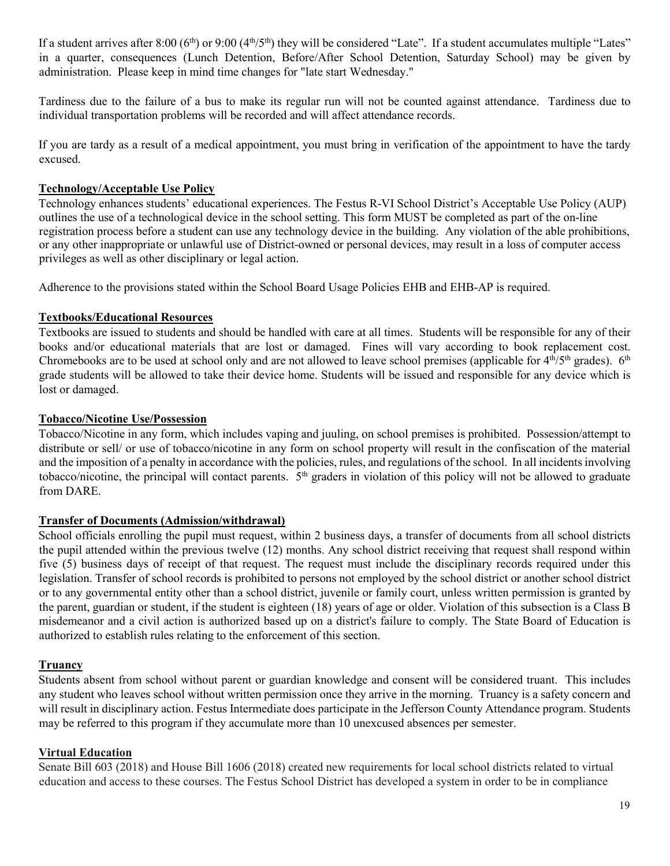If a student arrives after 8:00 ( $6<sup>th</sup>$ ) or 9:00 ( $4<sup>th</sup>/5<sup>th</sup>$ ) they will be considered "Late". If a student accumulates multiple "Lates" in a quarter, consequences (Lunch Detention, Before/After School Detention, Saturday School) may be given by administration. Please keep in mind time changes for "late start Wednesday."

Tardiness due to the failure of a bus to make its regular run will not be counted against attendance. Tardiness due to individual transportation problems will be recorded and will affect attendance records.

If you are tardy as a result of a medical appointment, you must bring in verification of the appointment to have the tardy excused.

#### **Technology/Acceptable Use Policy**

Technology enhances students' educational experiences. The Festus R-VI School District's Acceptable Use Policy (AUP) outlines the use of a technological device in the school setting. This form MUST be completed as part of the on-line registration process before a student can use any technology device in the building. Any violation of the able prohibitions, or any other inappropriate or unlawful use of District-owned or personal devices, may result in a loss of computer access privileges as well as other disciplinary or legal action.

Adherence to the provisions stated within the School Board Usage Policies EHB and EHB-AP is required.

#### **Textbooks/Educational Resources**

Textbooks are issued to students and should be handled with care at all times. Students will be responsible for any of their books and/or educational materials that are lost or damaged. Fines will vary according to book replacement cost. Chromebooks are to be used at school only and are not allowed to leave school premises (applicable for  $4<sup>th</sup>/5<sup>th</sup>$  grades).  $6<sup>th</sup>$ grade students will be allowed to take their device home. Students will be issued and responsible for any device which is lost or damaged.

#### **Tobacco/Nicotine Use/Possession**

Tobacco/Nicotine in any form, which includes vaping and juuling, on school premises is prohibited. Possession/attempt to distribute or sell/ or use of tobacco/nicotine in any form on school property will result in the confiscation of the material and the imposition of a penalty in accordance with the policies, rules, and regulations of the school. In all incidents involving tobacco/nicotine, the principal will contact parents.  $5<sup>th</sup>$  graders in violation of this policy will not be allowed to graduate from DARE.

#### **Transfer of Documents (Admission/withdrawal)**

School officials enrolling the pupil must request, within 2 business days, a transfer of documents from all school districts the pupil attended within the previous twelve (12) months. Any school district receiving that request shall respond within five (5) business days of receipt of that request. The request must include the disciplinary records required under this legislation. Transfer of school records is prohibited to persons not employed by the school district or another school district or to any governmental entity other than a school district, juvenile or family court, unless written permission is granted by the parent, guardian or student, if the student is eighteen (18) years of age or older. Violation of this subsection is a Class B misdemeanor and a civil action is authorized based up on a district's failure to comply. The State Board of Education is authorized to establish rules relating to the enforcement of this section.

# **Truancy**

Students absent from school without parent or guardian knowledge and consent will be considered truant. This includes any student who leaves school without written permission once they arrive in the morning. Truancy is a safety concern and will result in disciplinary action. Festus Intermediate does participate in the Jefferson County Attendance program. Students may be referred to this program if they accumulate more than 10 unexcused absences per semester.

# **Virtual Education**

Senate Bill 603 (2018) and House Bill 1606 (2018) created new requirements for local school districts related to virtual education and access to these courses. The Festus School District has developed a system in order to be in compliance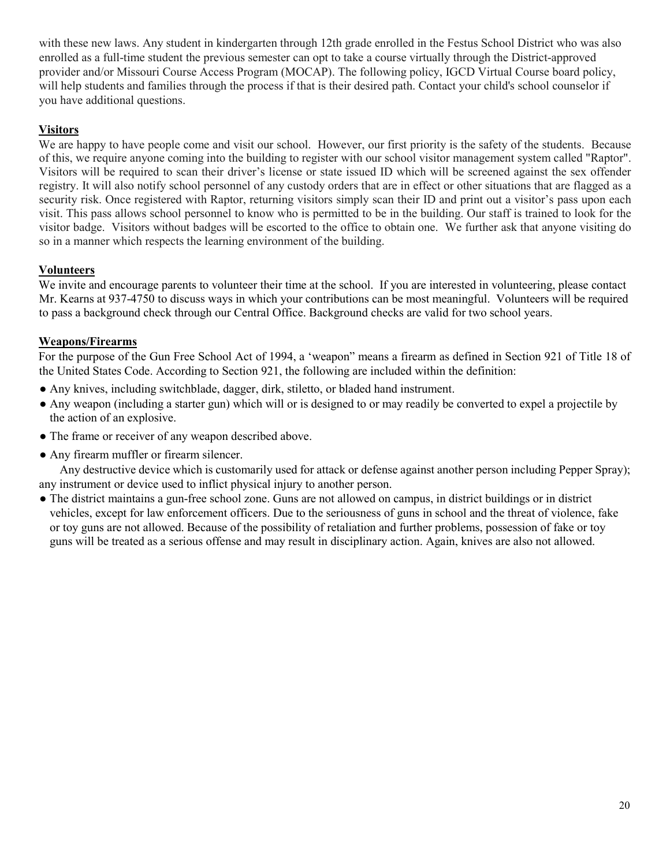with these new laws. Any student in kindergarten through 12th grade enrolled in the Festus School District who was also enrolled as a full-time student the previous semester can opt to take a course virtually through the District-approved provider and/or Missouri Course Access Program (MOCAP). The following policy, IGCD Virtual Course board policy, will help students and families through the process if that is their desired path. Contact your child's school counselor if you have additional questions.

# **Visitors**

We are happy to have people come and visit our school. However, our first priority is the safety of the students. Because of this, we require anyone coming into the building to register with our school visitor management system called "Raptor". Visitors will be required to scan their driver's license or state issued ID which will be screened against the sex offender registry. It will also notify school personnel of any custody orders that are in effect or other situations that are flagged as a security risk. Once registered with Raptor, returning visitors simply scan their ID and print out a visitor's pass upon each visit. This pass allows school personnel to know who is permitted to be in the building. Our staff is trained to look for the visitor badge. Visitors without badges will be escorted to the office to obtain one. We further ask that anyone visiting do so in a manner which respects the learning environment of the building.

# **Volunteers**

We invite and encourage parents to volunteer their time at the school. If you are interested in volunteering, please contact Mr. Kearns at 937-4750 to discuss ways in which your contributions can be most meaningful. Volunteers will be required to pass a background check through our Central Office. Background checks are valid for two school years.

# **Weapons/Firearms**

For the purpose of the Gun Free School Act of 1994, a 'weapon" means a firearm as defined in Section 921 of Title 18 of the United States Code. According to Section 921, the following are included within the definition:

- Any knives, including switchblade, dagger, dirk, stiletto, or bladed hand instrument.
- Any weapon (including a starter gun) which will or is designed to or may readily be converted to expel a projectile by the action of an explosive.
- The frame or receiver of any weapon described above.
- Any firearm muffler or firearm silencer.

 Any destructive device which is customarily used for attack or defense against another person including Pepper Spray); any instrument or device used to inflict physical injury to another person.

● The district maintains a gun-free school zone. Guns are not allowed on campus, in district buildings or in district vehicles, except for law enforcement officers. Due to the seriousness of guns in school and the threat of violence, fake or toy guns are not allowed. Because of the possibility of retaliation and further problems, possession of fake or toy guns will be treated as a serious offense and may result in disciplinary action. Again, knives are also not allowed.